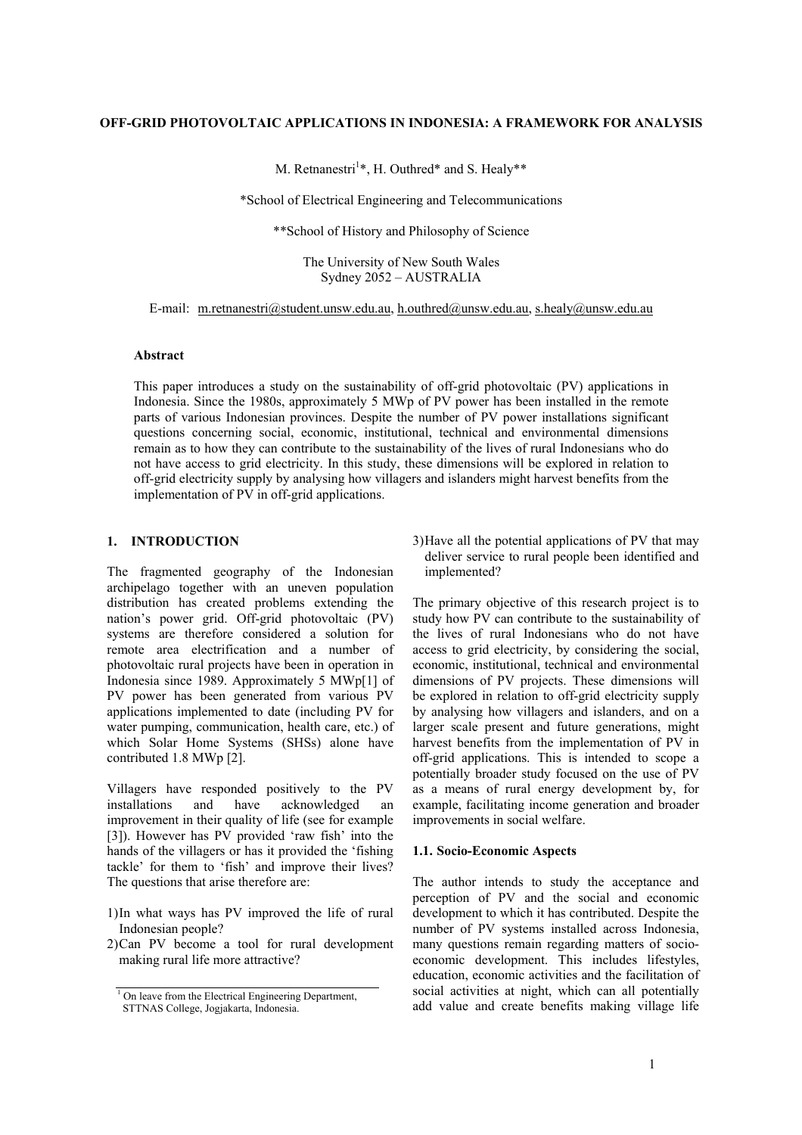## **OFF-GRID PHOTOVOLTAIC APPLICATIONS IN INDONESIA: A FRAMEWORK FOR ANALYSIS**

M. Retnanestri<sup>1</sup>\*, H. Outhred\* and S. Healy\*\*

\*School of Electrical Engineering and Telecommunications

\*\*School of History and Philosophy of Science

The University of New South Wales Sydney 2052 – AUSTRALIA

E-mail: m.retnanestri@student.unsw.edu.au, h.outhred@unsw.edu.au, s.healy@unsw.edu.au

#### **Abstract**

This paper introduces a study on the sustainability of off-grid photovoltaic (PV) applications in Indonesia. Since the 1980s, approximately 5 MWp of PV power has been installed in the remote parts of various Indonesian provinces. Despite the number of PV power installations significant questions concerning social, economic, institutional, technical and environmental dimensions remain as to how they can contribute to the sustainability of the lives of rural Indonesians who do not have access to grid electricity. In this study, these dimensions will be explored in relation to off-grid electricity supply by analysing how villagers and islanders might harvest benefits from the implementation of PV in off-grid applications.

## **1. INTRODUCTION**

The fragmented geography of the Indonesian archipelago together with an uneven population distribution has created problems extending the nation's power grid. Off-grid photovoltaic (PV) systems are therefore considered a solution for remote area electrification and a number of photovoltaic rural projects have been in operation in Indonesia since 1989. Approximately 5 MWp[1] of PV power has been generated from various PV applications implemented to date (including PV for water pumping, communication, health care, etc.) of which Solar Home Systems (SHSs) alone have contributed 1.8 MWp [2].

Villagers have responded positively to the PV installations and have acknowledged an improvement in their quality of life (see for example [3]). However has PV provided 'raw fish' into the hands of the villagers or has it provided the 'fishing tackle' for them to 'fish' and improve their lives? The questions that arise therefore are:

- 1)In what ways has PV improved the life of rural Indonesian people?
- 2)Can PV become a tool for rural development making rural life more attractive?

3)Have all the potential applications of PV that may deliver service to rural people been identified and implemented?

The primary objective of this research project is to study how PV can contribute to the sustainability of the lives of rural Indonesians who do not have access to grid electricity, by considering the social, economic, institutional, technical and environmental dimensions of PV projects. These dimensions will be explored in relation to off-grid electricity supply by analysing how villagers and islanders, and on a larger scale present and future generations, might harvest benefits from the implementation of PV in off-grid applications. This is intended to scope a potentially broader study focused on the use of PV as a means of rural energy development by, for example, facilitating income generation and broader improvements in social welfare.

#### **1.1. Socio-Economic Aspects**

The author intends to study the acceptance and perception of PV and the social and economic development to which it has contributed. Despite the number of PV systems installed across Indonesia, many questions remain regarding matters of socioeconomic development. This includes lifestyles, education, economic activities and the facilitation of social activities at night, which can all potentially add value and create benefits making village life

<sup>&</sup>lt;sup>1</sup> On leave from the Electrical Engineering Department,

STTNAS College, Jogjakarta, Indonesia.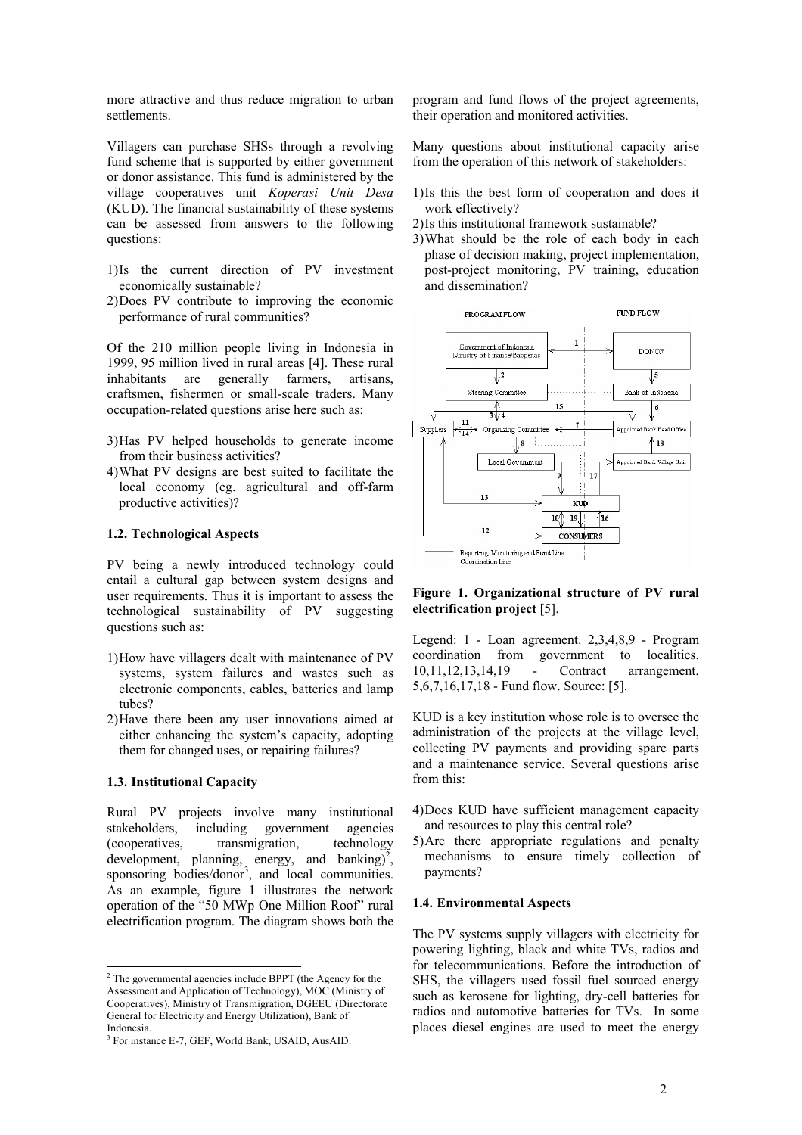more attractive and thus reduce migration to urban settlements.

Villagers can purchase SHSs through a revolving fund scheme that is supported by either government or donor assistance. This fund is administered by the village cooperatives unit *Koperasi Unit Desa* (KUD). The financial sustainability of these systems can be assessed from answers to the following questions:

- 1)Is the current direction of PV investment economically sustainable?
- 2)Does PV contribute to improving the economic performance of rural communities?

Of the 210 million people living in Indonesia in 1999, 95 million lived in rural areas [4]. These rural inhabitants are generally farmers, artisans, craftsmen, fishermen or small-scale traders. Many occupation-related questions arise here such as:

- 3)Has PV helped households to generate income from their business activities?
- 4)What PV designs are best suited to facilitate the local economy (eg. agricultural and off-farm productive activities)?

## **1.2. Technological Aspects**

PV being a newly introduced technology could entail a cultural gap between system designs and user requirements. Thus it is important to assess the technological sustainability of PV suggesting questions such as:

- 1)How have villagers dealt with maintenance of PV systems, system failures and wastes such as electronic components, cables, batteries and lamp tubes?
- 2)Have there been any user innovations aimed at either enhancing the system's capacity, adopting them for changed uses, or repairing failures?

#### **1.3. Institutional Capacity**

Rural PV projects involve many institutional stakeholders, including government agencies (cooperatives, transmigration, technology development, planning, energy, and banking $\vec{p}^2$ , sponsoring bodies/donor<sup>3</sup>, and local communities. As an example, figure 1 illustrates the network operation of the "50 MWp One Million Roof" rural electrification program. The diagram shows both the

program and fund flows of the project agreements, their operation and monitored activities.

Many questions about institutional capacity arise from the operation of this network of stakeholders:

- 1)Is this the best form of cooperation and does it work effectively?
- 2)Is this institutional framework sustainable?
- 3)What should be the role of each body in each phase of decision making, project implementation, post-project monitoring, PV training, education and dissemination?



**Figure 1. Organizational structure of PV rural electrification project** [5].

Legend: 1 - Loan agreement. 2,3,4,8,9 - Program coordination from government to localities. 10,11,12,13,14,19 - Contract arrangement. 5,6,7,16,17,18 - Fund flow. Source: [5].

KUD is a key institution whose role is to oversee the administration of the projects at the village level, collecting PV payments and providing spare parts and a maintenance service. Several questions arise from this:

- 4)Does KUD have sufficient management capacity and resources to play this central role?
- 5)Are there appropriate regulations and penalty mechanisms to ensure timely collection of payments?

#### **1.4. Environmental Aspects**

The PV systems supply villagers with electricity for powering lighting, black and white TVs, radios and for telecommunications. Before the introduction of SHS, the villagers used fossil fuel sourced energy such as kerosene for lighting, dry-cell batteries for radios and automotive batteries for TVs. In some places diesel engines are used to meet the energy

<sup>&</sup>lt;sup>2</sup> The governmental agencies include BPPT (the Agency for the Assessment and Application of Technology), MOC (Ministry of Cooperatives), Ministry of Transmigration, DGEEU (Directorate General for Electricity and Energy Utilization), Bank of Indonesia.

<sup>3</sup> For instance E-7, GEF, World Bank, USAID, AusAID.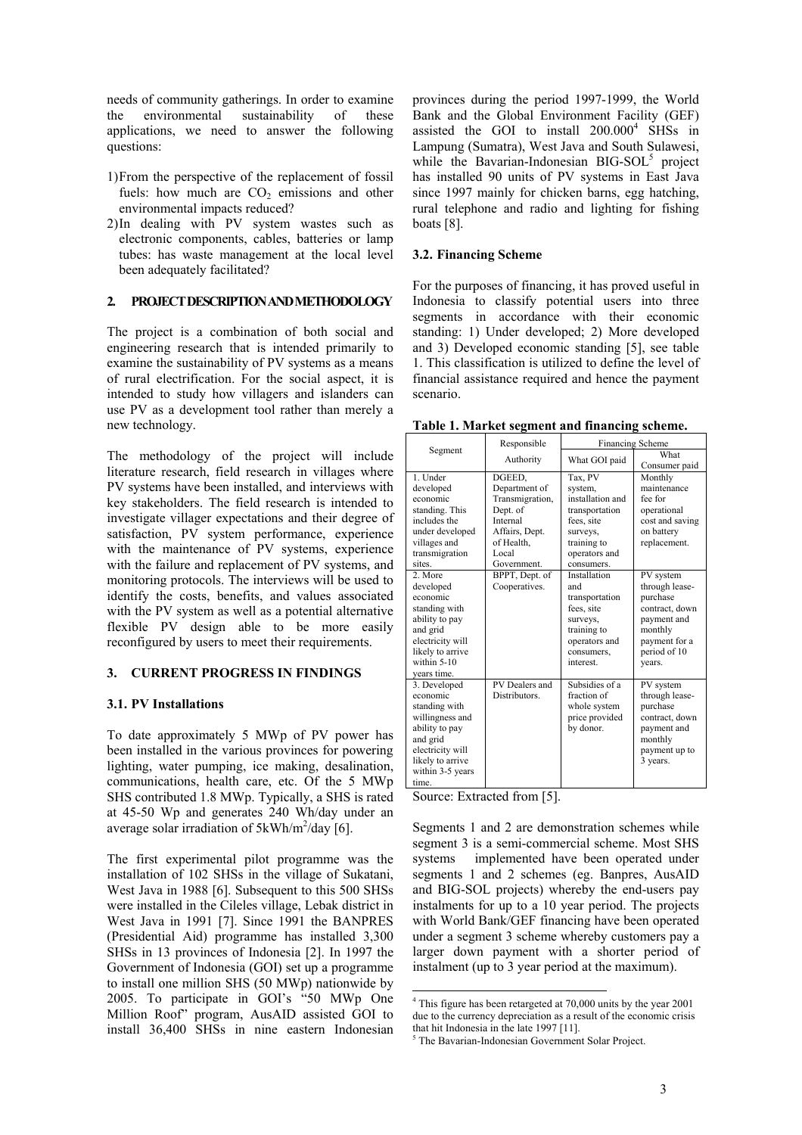needs of community gatherings. In order to examine the environmental sustainability of these applications, we need to answer the following questions:

- 1)From the perspective of the replacement of fossil fuels: how much are  $CO<sub>2</sub>$  emissions and other environmental impacts reduced?
- 2)In dealing with PV system wastes such as electronic components, cables, batteries or lamp tubes: has waste management at the local level been adequately facilitated?

## **2. PROJECT DESCRIPTION AND METHODOLOGY**

The project is a combination of both social and engineering research that is intended primarily to examine the sustainability of PV systems as a means of rural electrification. For the social aspect, it is intended to study how villagers and islanders can use PV as a development tool rather than merely a new technology.

The methodology of the project will include literature research, field research in villages where PV systems have been installed, and interviews with key stakeholders. The field research is intended to investigate villager expectations and their degree of satisfaction, PV system performance, experience with the maintenance of PV systems, experience with the failure and replacement of PV systems, and monitoring protocols. The interviews will be used to identify the costs, benefits, and values associated with the PV system as well as a potential alternative flexible PV design able to be more easily reconfigured by users to meet their requirements.

# **3. CURRENT PROGRESS IN FINDINGS**

#### **3.1. PV Installations**

To date approximately 5 MWp of PV power has been installed in the various provinces for powering lighting, water pumping, ice making, desalination, communications, health care, etc. Of the 5 MWp SHS contributed 1.8 MWp. Typically, a SHS is rated at 45-50 Wp and generates 240 Wh/day under an average solar irradiation of  $5kWh/m^2/day$  [6].

The first experimental pilot programme was the installation of 102 SHSs in the village of Sukatani, West Java in 1988 [6]. Subsequent to this 500 SHSs were installed in the Cileles village, Lebak district in West Java in 1991 [7]. Since 1991 the BANPRES (Presidential Aid) programme has installed 3,300 SHSs in 13 provinces of Indonesia [2]. In 1997 the Government of Indonesia (GOI) set up a programme to install one million SHS (50 MWp) nationwide by 2005. To participate in GOI's "50 MWp One Million Roof" program, AusAID assisted GOI to install 36,400 SHSs in nine eastern Indonesian provinces during the period 1997-1999, the World Bank and the Global Environment Facility (GEF) assisted the GOI to install  $200.000<sup>4</sup>$  SHSs in Lampung (Sumatra), West Java and South Sulawesi, while the Bavarian-Indonesian BIG-SOL<sup>5</sup> project has installed 90 units of PV systems in East Java since 1997 mainly for chicken barns, egg hatching, rural telephone and radio and lighting for fishing boats [8].

#### **3.2. Financing Scheme**

For the purposes of financing, it has proved useful in Indonesia to classify potential users into three segments in accordance with their economic standing: 1) Under developed; 2) More developed and 3) Developed economic standing [5], see table 1. This classification is utilized to define the level of financial assistance required and hence the payment scenario.

|                  | Responsible     | <b>Financing Scheme</b> |                 |
|------------------|-----------------|-------------------------|-----------------|
| Segment          | Authority       | What GOI paid           | What            |
|                  |                 |                         | Consumer paid   |
| 1. Under         | DGEED,          | Tax, PV                 | Monthly         |
| developed        | Department of   | system,                 | maintenance     |
| economic         | Transmigration, | installation and        | fee for         |
| standing. This   | Dept. of        | transportation          | operational     |
| includes the     | Internal        | fees. site              | cost and saving |
| under developed  | Affairs, Dept.  | surveys.                | on battery      |
| villages and     | of Health.      | training to             | replacement.    |
| transmigration   | Local           | operators and           |                 |
| sites.           | Government.     | consumers.              |                 |
| 2. More          | BPPT, Dept. of  | Installation            | PV system       |
| developed        | Cooperatives.   | and                     | through lease-  |
| economic         |                 | transportation          | purchase        |
| standing with    |                 | fees, site              | contract, down  |
| ability to pay   |                 | surveys.                | payment and     |
| and grid         |                 | training to             | monthly         |
| electricity will |                 | operators and           | payment for a   |
| likely to arrive |                 | consumers,              | period of 10    |
| within 5-10      |                 | interest.               | vears.          |
| vears time.      |                 |                         |                 |
| 3. Developed     | PV Dealers and  | Subsidies of a          | PV system       |
| economic         | Distributors.   | fraction of             | through lease-  |
| standing with    |                 | whole system            | purchase        |
| willingness and  |                 | price provided          | contract, down  |
| ability to pay   |                 | by donor.               | payment and     |
| and grid         |                 |                         | monthly         |
| electricity will |                 |                         | payment up to   |
| likely to arrive |                 |                         | 3 years.        |
| within 3-5 years |                 |                         |                 |
| time.            |                 |                         |                 |

**Table 1. Market segment and financing scheme.** 

Source: Extracted from [5].

l

Segments 1 and 2 are demonstration schemes while segment 3 is a semi-commercial scheme. Most SHS systems implemented have been operated under segments 1 and 2 schemes (eg. Banpres, AusAID and BIG-SOL projects) whereby the end-users pay instalments for up to a 10 year period. The projects with World Bank/GEF financing have been operated under a segment 3 scheme whereby customers pay a larger down payment with a shorter period of instalment (up to 3 year period at the maximum).

<sup>&</sup>lt;sup>4</sup> This figure has been retargeted at 70,000 units by the year 2001 due to the currency depreciation as a result of the economic crisis that hit Indonesia in the late 1997 [11].

<sup>&</sup>lt;sup>5</sup> The Bavarian-Indonesian Government Solar Project.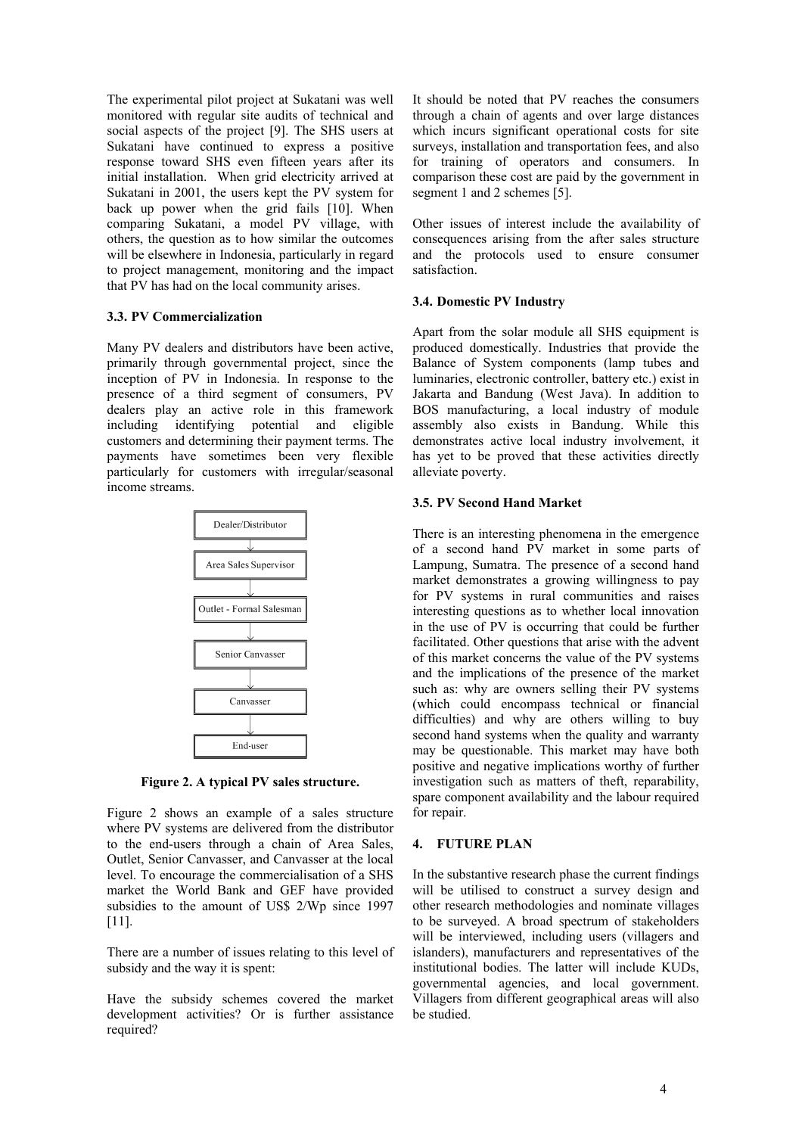The experimental pilot project at Sukatani was well monitored with regular site audits of technical and social aspects of the project [9]. The SHS users at Sukatani have continued to express a positive response toward SHS even fifteen years after its initial installation. When grid electricity arrived at Sukatani in 2001, the users kept the PV system for back up power when the grid fails [10]. When comparing Sukatani, a model PV village, with others, the question as to how similar the outcomes will be elsewhere in Indonesia, particularly in regard to project management, monitoring and the impact that PV has had on the local community arises.

# **3.3. PV Commercialization**

Many PV dealers and distributors have been active, primarily through governmental project, since the inception of PV in Indonesia. In response to the presence of a third segment of consumers, PV dealers play an active role in this framework including identifying potential and eligible customers and determining their payment terms. The payments have sometimes been very flexible particularly for customers with irregular/seasonal income streams.



**Figure 2. A typical PV sales structure.** 

Figure 2 shows an example of a sales structure where PV systems are delivered from the distributor to the end-users through a chain of Area Sales, Outlet, Senior Canvasser, and Canvasser at the local level. To encourage the commercialisation of a SHS market the World Bank and GEF have provided subsidies to the amount of US\$ 2/Wp since 1997 [11].

There are a number of issues relating to this level of subsidy and the way it is spent:

Have the subsidy schemes covered the market development activities? Or is further assistance required?

It should be noted that PV reaches the consumers through a chain of agents and over large distances which incurs significant operational costs for site surveys, installation and transportation fees, and also for training of operators and consumers. In comparison these cost are paid by the government in segment 1 and 2 schemes [5].

Other issues of interest include the availability of consequences arising from the after sales structure and the protocols used to ensure consumer satisfaction.

# **3.4. Domestic PV Industry**

Apart from the solar module all SHS equipment is produced domestically. Industries that provide the Balance of System components (lamp tubes and luminaries, electronic controller, battery etc.) exist in Jakarta and Bandung (West Java). In addition to BOS manufacturing, a local industry of module assembly also exists in Bandung. While this demonstrates active local industry involvement, it has yet to be proved that these activities directly alleviate poverty.

# **3.5. PV Second Hand Market**

There is an interesting phenomena in the emergence of a second hand PV market in some parts of Lampung, Sumatra. The presence of a second hand market demonstrates a growing willingness to pay for PV systems in rural communities and raises interesting questions as to whether local innovation in the use of PV is occurring that could be further facilitated. Other questions that arise with the advent of this market concerns the value of the PV systems and the implications of the presence of the market such as: why are owners selling their PV systems (which could encompass technical or financial difficulties) and why are others willing to buy second hand systems when the quality and warranty may be questionable. This market may have both positive and negative implications worthy of further investigation such as matters of theft, reparability, spare component availability and the labour required for repair.

# **4. FUTURE PLAN**

In the substantive research phase the current findings will be utilised to construct a survey design and other research methodologies and nominate villages to be surveyed. A broad spectrum of stakeholders will be interviewed, including users (villagers and islanders), manufacturers and representatives of the institutional bodies. The latter will include KUDs, governmental agencies, and local government. Villagers from different geographical areas will also be studied.